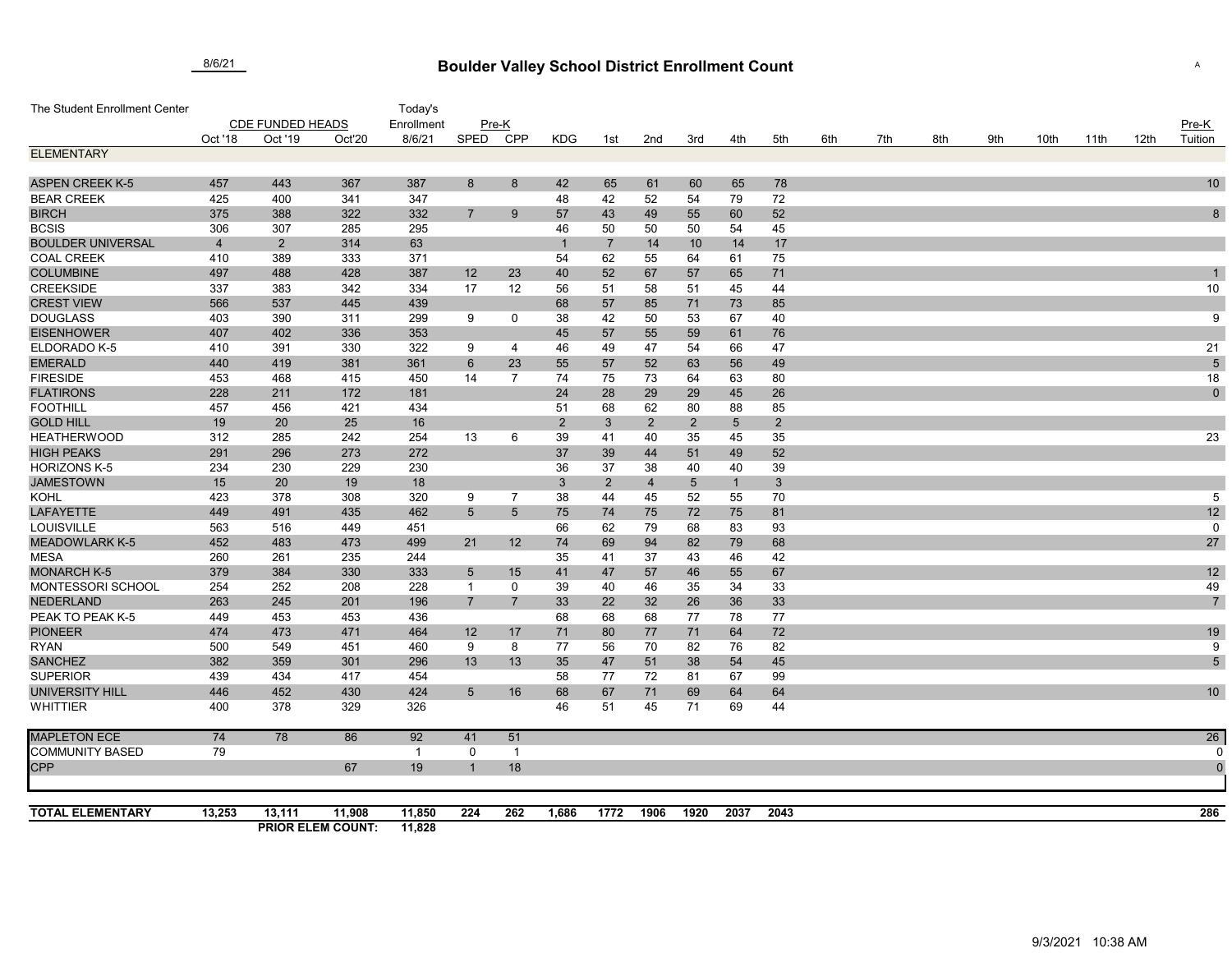## **Boulder Valley School District Enrollment Count** 8/6/21 <sup>A</sup>

| The Student Enrollment Center       |                         |                |                          | Today's     |                                   |                 |                |                |                |                |                    |             |     |     |     |     |      |      |      |                |
|-------------------------------------|-------------------------|----------------|--------------------------|-------------|-----------------------------------|-----------------|----------------|----------------|----------------|----------------|--------------------|-------------|-----|-----|-----|-----|------|------|------|----------------|
|                                     | <b>CDE FUNDED HEADS</b> |                |                          | Enrollment  | Pre-K                             |                 |                |                |                |                |                    |             |     |     |     |     |      |      |      | $Pre-K$        |
|                                     | Oct '18                 | Oct '19        | Oct'20                   | 8/6/21      | SPED                              | <b>CPP</b>      | <b>KDG</b>     | 1st            | 2nd            | 3rd            | 4th                | 5th         | 6th | 7th | 8th | 9th | 10th | 11th | 12th | Tuition        |
| <b>ELEMENTARY</b>                   |                         |                |                          |             |                                   |                 |                |                |                |                |                    |             |     |     |     |     |      |      |      |                |
|                                     |                         |                |                          |             |                                   |                 |                |                |                |                |                    |             |     |     |     |     |      |      |      |                |
| <b>ASPEN CREEK K-5</b>              | 457                     | 443            | 367                      | 387         | 8                                 | 8               | 42             | 65             | 61             | 60             | 65                 | 78          |     |     |     |     |      |      |      | 10             |
| <b>BEAR CREEK</b>                   | 425                     | 400            | 341                      | 347         |                                   |                 | 48             | 42             | 52             | 54             | 79                 | 72          |     |     |     |     |      |      |      |                |
| <b>BIRCH</b>                        | 375                     | 388            | 322                      | 332         | $\overline{7}$                    | 9               | 57             | 43             | 49             | 55             | 60                 | 52          |     |     |     |     |      |      |      | $\bf 8$        |
| <b>BCSIS</b>                        | 306                     | 307            | 285                      | 295         |                                   |                 | 46             | 50             | 50             | 50             | 54                 | 45          |     |     |     |     |      |      |      |                |
| <b>BOULDER UNIVERSAL</b>            | $\overline{4}$          | $\overline{2}$ | 314                      | 63          |                                   |                 | $\overline{1}$ | $\overline{7}$ | 14             | 10             | 14                 | 17          |     |     |     |     |      |      |      |                |
| <b>COAL CREEK</b>                   | 410                     | 389            | 333                      | 371         |                                   |                 | 54             | 62             | 55             | 64             | 61                 | 75          |     |     |     |     |      |      |      |                |
| <b>COLUMBINE</b>                    | 497                     | 488            | 428                      | 387         | 12                                | 23              | 40             | 52             | 67             | 57             | 65                 | 71          |     |     |     |     |      |      |      |                |
| <b>CREEKSIDE</b>                    | 337                     | 383            | 342                      | 334         | 17                                | 12              | 56             | 51             | 58             | 51             | 45                 | 44          |     |     |     |     |      |      |      | 10             |
| <b>CREST VIEW</b>                   | 566                     | 537            | 445                      | 439         |                                   |                 | 68             | 57             | 85             | 71             | 73                 | 85          |     |     |     |     |      |      |      |                |
| <b>DOUGLASS</b>                     | 403                     | 390            | 311                      | 299         | 9                                 | 0               | 38             | 42             | 50             | 53             | 67                 | 40          |     |     |     |     |      |      |      | 9              |
| <b>EISENHOWER</b>                   | 407                     | 402            | 336                      | 353         |                                   |                 | 45             | 57             | 55             | 59             | 61                 | 76          |     |     |     |     |      |      |      |                |
| ELDORADO K-5                        | 410                     | 391            | 330                      | 322         | 9                                 | 4               | 46             | 49             | 47             | 54             | 66                 | 47          |     |     |     |     |      |      |      | 21             |
| <b>EMERALD</b>                      | 440                     | 419            | 381                      | 361         | 6                                 | 23              | 55             | 57             | 52             | 63             | 56                 | 49          |     |     |     |     |      |      |      | $\sqrt{5}$     |
| <b>FIRESIDE</b><br><b>FLATIRONS</b> | 453                     | 468            | 415                      | 450         | 14                                | 7               | 74             | 75             | 73             | 64             | 63                 | 80          |     |     |     |     |      |      |      | 18             |
|                                     | 228                     | 211            | 172                      | 181         |                                   |                 | 24             | 28             | 29             | 29             | 45                 | 26          |     |     |     |     |      |      |      | $\mathbf 0$    |
| <b>FOOTHILL</b>                     | 457                     | 456            | 421                      | 434         |                                   |                 | 51             | 68             | 62             | 80             | 88                 | 85          |     |     |     |     |      |      |      |                |
| <b>GOLD HILL</b>                    | 19                      | 20             | 25                       | 16          |                                   |                 | $\overline{2}$ | $\mathbf{3}$   | $\overline{2}$ | $\sqrt{2}$     | $5\phantom{.0}$    | $2^{\circ}$ |     |     |     |     |      |      |      |                |
| <b>HEATHERWOOD</b>                  | 312                     | 285            | 242                      | 254         | 13                                | 6               | 39             | 41             | 40             | 35             | 45                 | 35          |     |     |     |     |      |      |      | 23             |
| <b>HIGH PEAKS</b>                   | 291                     | 296            | 273                      | 272         |                                   |                 | 37             | 39             | 44             | 51             | 49                 | 52          |     |     |     |     |      |      |      |                |
| <b>HORIZONS K-5</b>                 | 234<br>15               | 230<br>20      | 229                      | 230         |                                   |                 | 36             | 37             | 38             | 40             | 40                 | 39          |     |     |     |     |      |      |      |                |
| <b>JAMESTOWN</b>                    |                         |                | 19                       | 18          |                                   | $\overline{7}$  | 3              | $\overline{2}$ | $\overline{4}$ | $\overline{5}$ | $\mathbf{1}$<br>55 | 3           |     |     |     |     |      |      |      |                |
| <b>KOHL</b>                         | 423<br>449              | 378            | 308<br>435               | 320<br>462  | 9                                 |                 | 38             | 44             | 45             | 52<br>72       | 75                 | 70          |     |     |     |     |      |      |      | $\overline{5}$ |
| <b>LAFAYETTE</b><br>LOUISVILLE      | 563                     | 491<br>516     |                          |             | $\sqrt{5}$                        | $5\overline{)}$ | 75             | 74             | 75             |                |                    | 81          |     |     |     |     |      |      |      | 12             |
| <b>MEADOWLARK K-5</b>               | 452                     |                | 449                      | 451         |                                   |                 | 66             | 62             | 79             | 68             | 83                 | 93          |     |     |     |     |      |      |      | 0              |
| <b>MESA</b>                         |                         | 483            | 473                      | 499         | 21                                | 12              | 74             | 69             | 94             | 82             | 79                 | 68          |     |     |     |     |      |      |      | 27             |
| <b>MONARCH K-5</b>                  | 260<br>379              | 261            | 235<br>330               | 244<br>333  |                                   |                 | 35             | 41             | 37             | 43             | 46                 | 42          |     |     |     |     |      |      |      |                |
| MONTESSORI SCHOOL                   | 254                     | 384<br>252     | 208                      | 228         | $5\overline{)}$<br>$\overline{1}$ | 15<br>0         | 41<br>39       | 47<br>40       | 57<br>46       | 46<br>35       | 55<br>34           | 67          |     |     |     |     |      |      |      | 12<br>49       |
| <b>NEDERLAND</b>                    | 263                     | 245            | 201                      | 196         | $\overline{7}$                    | $\overline{7}$  | 33             | 22             | 32             | 26             | 36                 | 33<br>33    |     |     |     |     |      |      |      | $\overline{7}$ |
| PEAK TO PEAK K-5                    | 449                     | 453            | 453                      | 436         |                                   |                 | 68             | 68             | 68             | 77             | 78                 | 77          |     |     |     |     |      |      |      |                |
| <b>PIONEER</b>                      | 474                     | 473            | 471                      | 464         | 12                                | 17              | 71             | 80             | 77             | 71             | 64                 | 72          |     |     |     |     |      |      |      | 19             |
| <b>RYAN</b>                         | 500                     | 549            | 451                      | 460         | 9                                 | 8               | 77             | 56             | 70             | 82             | 76                 | 82          |     |     |     |     |      |      |      | 9              |
| <b>SANCHEZ</b>                      | 382                     | 359            | 301                      | 296         | 13                                | 13              | 35             | 47             | 51             | 38             | 54                 | 45          |     |     |     |     |      |      |      | $\overline{5}$ |
| <b>SUPERIOR</b>                     | 439                     | 434            | 417                      | 454         |                                   |                 | 58             | 77             | 72             | 81             | 67                 | 99          |     |     |     |     |      |      |      |                |
| UNIVERSITY HILL                     | 446                     | 452            | 430                      | 424         | $\overline{5}$                    | 16              | 68             | 67             | 71             | 69             | 64                 | 64          |     |     |     |     |      |      |      | 10             |
| <b>WHITTIER</b>                     | 400                     | 378            | 329                      | 326         |                                   |                 | 46             | 51             | 45             | 71             | 69                 | 44          |     |     |     |     |      |      |      |                |
| <b>MAPLETON ECE</b>                 | 74                      | 78             | 86                       | 92          | 41                                | 51              |                |                |                |                |                    |             |     |     |     |     |      |      |      | 26             |
| <b>COMMUNITY BASED</b>              | 79                      |                |                          | $\mathbf 1$ | 0                                 | -1              |                |                |                |                |                    |             |     |     |     |     |      |      |      |                |
| CPP                                 |                         |                | 67                       | 19          | $\mathbf 1$                       | 18              |                |                |                |                |                    |             |     |     |     |     |      |      |      | $\mathfrak{c}$ |
|                                     |                         |                |                          |             |                                   |                 |                |                |                |                |                    |             |     |     |     |     |      |      |      |                |
| <b>TOTAL ELEMENTARY</b>             | 13,253                  | 13,111         | 11,908                   | 11,850      | 224                               | 262             | 1,686          | 1772           | 1906           | 1920           | 2037               | 2043        |     |     |     |     |      |      |      | 286            |
|                                     |                         |                | <b>PRIOR ELEM COUNT:</b> | 11,828      |                                   |                 |                |                |                |                |                    |             |     |     |     |     |      |      |      |                |

9/3/2021 10:38 AM